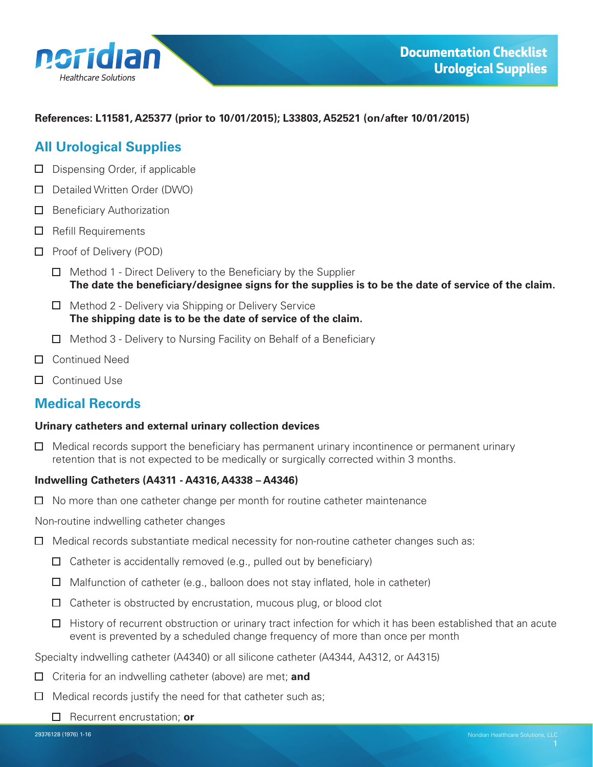<span id="page-0-0"></span>

#### **References: L11581, A25377 (prior to 10/01/2015); L33803, A52521 (on/after 10/01/2015)**

## **All Urological Supplies**

- $\Box$  Dispensing Order, if applicable
- Detailed Written Order (DWO)
- $\Box$  Beneficiary Authorization
- $\Box$  Refill Requirements
- $\Box$  Proof of Delivery (POD)
	- $\Box$  Method 1 Direct Delivery to the Beneficiary by the Supplier **The date the beneficiary/designee signs for the supplies is to be the date of service of the claim.**
	- $\Box$  Method 2 Delivery via Shipping or Delivery Service **The shipping date is to be the date of service of the claim.**
	- $\Box$  Method 3 Delivery to Nursing Facility on Behalf of a Beneficiary
- Continued Need
- □ Continued Use

# **Medical Records**

#### **Urinary catheters and external urinary collection devices**

 $\Box$  Medical records support the beneficiary has permanent urinary incontinence or permanent urinary retention that is not expected to be medically or surgically corrected within 3 months.

### **Indwelling Catheters (A4311 - A4316, A4338 – A4346)**

 $\Box$  No more than one catheter change per month for routine catheter maintenance

Non-routine indwelling catheter changes

- $\Box$  Medical records substantiate medical necessity for non-routine catheter changes such as:
	- $\Box$  Catheter is accidentally removed (e.g., pulled out by beneficiary)
	- $\Box$  Malfunction of catheter (e.g., balloon does not stay inflated, hole in catheter)
	- $\Box$  Catheter is obstructed by encrustation, mucous plug, or blood clot
	- $\Box$  History of recurrent obstruction or urinary tract infection for which it has been established that an acute event is prevented by a scheduled change frequency of more than once per month

Specialty indwelling catheter (A4340) or all silicone catheter (A4344, A4312, or A4315)

- Criteria for an indwelling catheter (above) are met; **and**
- $\Box$  Medical records justify the need for that catheter such as;
	- □ Recurrent encrustation; or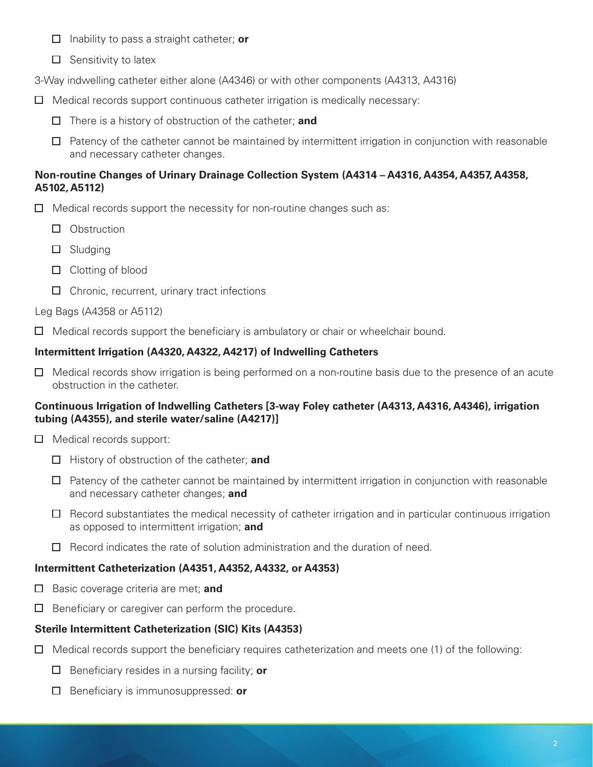- Inability to pass a straight catheter; **or**
- $\Box$  Sensitivity to latex

3-Way indwelling catheter either alone (A4346) or with other components (A4313, A4316)

- $\Box$  Medical records support continuous catheter irrigation is medically necessary:
	- There is a history of obstruction of the catheter; **and**
	- $\Box$  Patency of the catheter cannot be maintained by intermittent irrigation in conjunction with reasonable and necessary catheter changes.

### **Non-routine Changes of Urinary Drainage Collection System (A4314 – A4316, A4354, A4357, A4358, A5102, A5112)**

- $\Box$  Medical records support the necessity for non-routine changes such as:
	- **Obstruction**
	- Sludging
	- $\Box$  Clotting of blood
	- $\Box$  Chronic, recurrent, urinary tract infections

### Leg Bags (A4358 or A5112)

 $\Box$  Medical records support the beneficiary is ambulatory or chair or wheelchair bound.

### **Intermittent Irrigation (A4320, A4322, A4217) of Indwelling Catheters**

 $\Box$  Medical records show irrigation is being performed on a non-routine basis due to the presence of an acute obstruction in the catheter.

### **Continuous Irrigation of Indwelling Catheters [3-way Foley catheter (A4313, A4316, A4346), irrigation tubing (A4355), and sterile water/saline (A4217)]**

- $\Box$  Medical records support:
	- History of obstruction of the catheter; **and**
	- $\Box$  Patency of the catheter cannot be maintained by intermittent irrigation in conjunction with reasonable and necessary catheter changes; **and**
	- $\Box$  Record substantiates the medical necessity of catheter irrigation and in particular continuous irrigation as opposed to intermittent irrigation; **and**
	- $\Box$  Record indicates the rate of solution administration and the duration of need.

## **Intermittent Catheterization (A4351, A4352, A4332, or A4353)**

- **Basic coverage criteria are met; and**
- $\Box$  Beneficiary or caregiver can perform the procedure.

## **Sterile Intermittent Catheterization (SIC) Kits (A4353)**

- $\Box$  Medical records support the beneficiary requires catheterization and meets one (1) of the following:
	- Beneficiary resides in a nursing facility; **or**
	- Beneficiary is immunosuppressed: **or**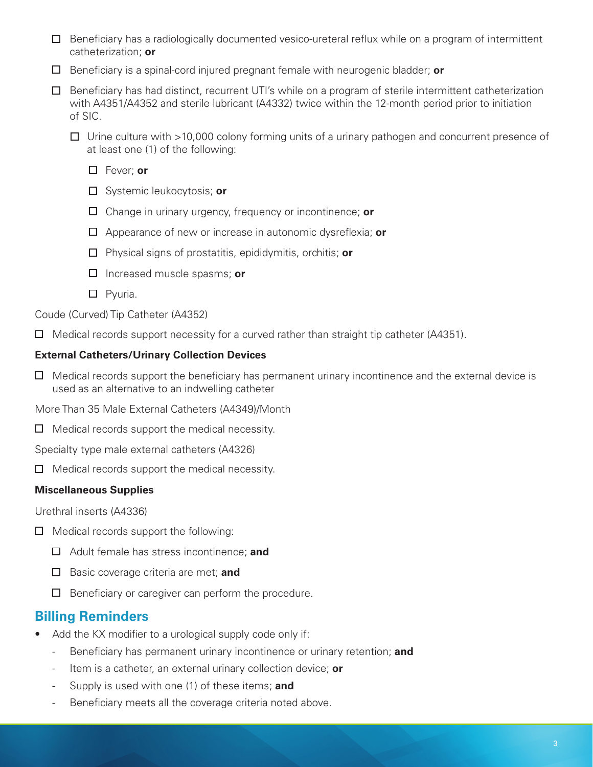- $\Box$  Beneficiary has a radiologically documented vesico-ureteral reflux while on a program of intermittent catheterization; **or**
- Beneficiary is a spinal-cord injured pregnant female with neurogenic bladder; **or**
- $\Box$  Beneficiary has had distinct, recurrent UTI's while on a program of sterile intermittent catheterization with A4351/A4352 and sterile lubricant (A4332) twice within the 12-month period prior to initiation of SIC.
	- $\Box$  Urine culture with >10,000 colony forming units of a urinary pathogen and concurrent presence of at least one (1) of the following:
		- Fever; **or**
		- Systemic leukocytosis; **or**
		- Change in urinary urgency, frequency or incontinence; **or**
		- Appearance of new or increase in autonomic dysreflexia; **or**
		- Physical signs of prostatitis, epididymitis, orchitis; **or**
		- Increased muscle spasms; **or**
		- $\square$  Pyuria.

Coude (Curved) Tip Catheter (A4352)

 $\Box$  Medical records support necessity for a curved rather than straight tip catheter (A4351).

#### **External Catheters/Urinary Collection Devices**

 $\Box$  Medical records support the beneficiary has permanent urinary incontinence and the external device is used as an alternative to an indwelling catheter

More Than 35 Male External Catheters (A4349)/Month

 $\Box$  Medical records support the medical necessity.

Specialty type male external catheters (A4326)

 $\Box$  Medical records support the medical necessity.

#### **Miscellaneous Supplies**

Urethral inserts (A4336)

- $\Box$  Medical records support the following:
	- Adult female has stress incontinence; **and**
	- **Basic coverage criteria are met; and**
	- $\Box$  Beneficiary or caregiver can perform the procedure.

## **Billing Reminders**

- Add the KX modifier to a urological supply code only if:
	- Beneficiary has permanent urinary incontinence or urinary retention; **and**
	- Item is a catheter, an external urinary collection device; **or**
	- Supply is used with one (1) of these items; **and**
	- Beneficiary meets all the coverage criteria noted above.